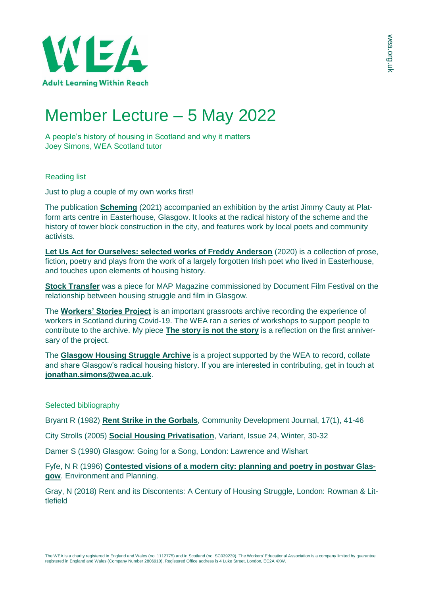

## Member Lecture – 5 May 2022

A people's history of housing in Scotland and why it matters Joey Simons, WEA Scotland tutor

Reading list

Just to plug a couple of my own works first!

The publication **[Scheming](https://issuu.com/platformglasgow/docs/scheming_060721_final_sp)** (2021) accompanied an exhibition by the artist Jimmy Cauty at Platform arts centre in Easterhouse, Glasgow. It looks at the radical history of the scheme and the history of tower block construction in the city, and features work by local poets and community activists.

**[Let Us Act for Ourselves: selected works of Freddy Anderson](https://issuu.com/platformglasgow/docs/let_us_act_for_ourselves_publication)** (2020) is a collection of prose, fiction, poetry and plays from the work of a largely forgotten Irish poet who lived in Easterhouse, and touches upon elements of housing history.

**[Stock Transfer](https://mapmagazine.co.uk/tenancy-x-document-stock-transfer)** was a piece for MAP Magazine commissioned by Document Film Festival on the relationship between housing struggle and film in Glasgow.

The **[Workers' Stories Project](https://www.workersstories.org.uk/your-stories/)** is an important grassroots archive recording the experience of workers in Scotland during Covid-19. The WEA ran a series of workshops to support people to contribute to the archive. My piece **[The story is not the story](https://www.workersstories.org.uk/the-story-is-not-the-story/)** is a reflection on the first anniversary of the project.

The **[Glasgow Housing Struggle Archive](http://glasgowtenantsarchive.com/)** is a project supported by the WEA to record, collate and share Glasgow's radical housing history. If you are interested in contributing, get in touch at **[jonathan.simons@wea.ac.uk](mailto:jonathan.simons@wea.ac.uk)**.

Selected bibliography

Bryant R (1982) **Rent Strike in the [Gorbals](https://1915rentstrikesrediscovered.files.wordpress.com/2015/11/rent-strike-in-the-gorbals.pdf)**, Community Development Journal, 17(1), 41-46

City Strolls (2005) **Social Housing [Privatisation](http://www.variant.org.uk/pdfs/issue24/housing.pdf)**, Variant, Issue 24, Winter, 30-32

Damer S (1990) Glasgow: Going for a Song, London: Lawrence and Wishart

Fyfe, N R (1996) **[Contested visions of a modern city: planning and poetry in postwar Glas](https://1915rentstrikesrediscovered.files.wordpress.com/2015/11/contested-visions-of-a-modern-city-planning-and-poetry-in-postwar-glasgow.pdf)[gow](https://1915rentstrikesrediscovered.files.wordpress.com/2015/11/contested-visions-of-a-modern-city-planning-and-poetry-in-postwar-glasgow.pdf)**. Environment and Planning.

Gray, N (2018) Rent and its Discontents: A Century of Housing Struggle, London: Rowman & Littlefield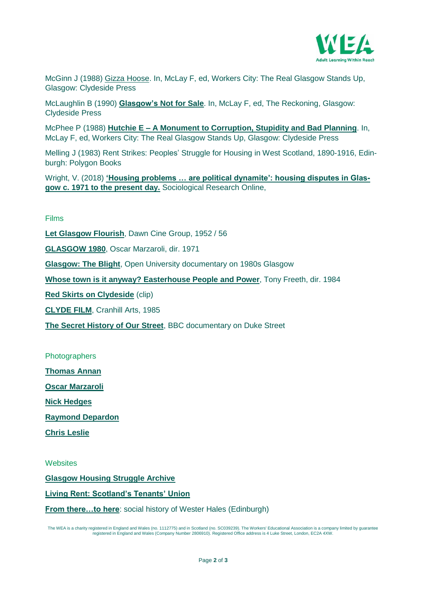

McGinn J (1988) Gizza [Hoose.](http://www.workerscity.org/workers_city/janette_mcginn.html) In, McLay F, ed, Workers City: The Real Glasgow Stands Up, Glasgow: Clydeside Press

McLaughlin B (1990) **[Glasgow's](http://www.workerscity.org/the_reckoning/brendan_mclaughlin.html) Not for Sale**. In, McLay F, ed, The Reckoning, Glasgow: Clydeside Press

McPhee P (1988) **Hutchie E – A Monument to [Corruption,](http://www.workerscity.org/workers_city/phil_mcphee.html) Stupidity and Bad Planning**. In, McLay F, ed, Workers City: The Real Glasgow Stands Up, Glasgow: Clydeside Press

Melling J (1983) Rent Strikes: Peoples' Struggle for Housing in West Scotland, 1890-1916, Edinburgh: Polygon Books

Wright, V. (2018) **['Housing problems … are political dynamite': housing disputes in Glas](http://eprints.gla.ac.uk/164332/1/164332.pdf)[gow c. 1971 to the present day.](http://eprints.gla.ac.uk/164332/1/164332.pdf)** Sociological Research Online,

## Films

**[Let Glasgow Flourish](https://movingimage.nls.uk/film/1721?search_term=LET%20GLASGOW%20FLOURISH)**, Dawn Cine Group, 1952 / 56

**[GLASGOW 1980](https://movingimage.nls.uk/film/0974)**, Oscar Marzaroli, dir. 1971

**[Glasgow: The Blight](https://www.youtube.com/watch?v=BINpXT6XB5I&t=682s)**, Open University documentary on 1980s Glasgow

**[Whose town is it anyway? Easterhouse People and Power](https://www.youtube.com/watch?v=E-qtcVzvNZQ)**, Tony Freeth, dir. 1984

**[Red Skirts on Clydeside](https://scotlandonscreen.org.uk/browse-films/red-skirts-on-clydeside-clip-1)** (clip)

**[CLYDE FILM](https://movingimage.nls.uk/film/3789)**, Cranhill Arts, 1985

**[The Secret History of Our Street](https://www.youtube.com/watch?v=ez3Ud-ijGkY)**, BBC documentary on Duke Street

**Photographers** 

**[Thomas Annan](https://digital.nls.uk/learning/thomas-annan-glasgow/)**

**[Oscar Marzaroli](https://www.streetlevelphotoworks.org/event/oscar-marzaroli)**

**[Nick Hedges](https://www.documentscotland.com/nickhedges/)**

**[Raymond Depardon](https://www.magnumphotos.com/arts-culture/society-arts-culture/william-boyd-raymond-depardon-1980s-glasgow/)**

**[Chris Leslie](https://www.disappearing-glasgow.com/)**

**Websites** 

**[Glasgow Housing Struggle Archive](https://glasgowtenantsarchive.com/)**

**[Living Rent: Scotland's Tenants' Union](http://www.livingrent.org/)**

**From there...to here:** social history of Wester Hales (Edinburgh)

The WEA is a charity registered in England and Wales (no. 1112775) and in Scotland (no. SC039239). The Workers' Educational Association is a company limited by guarantee<br>registered in England and Wales (Company Number 2806